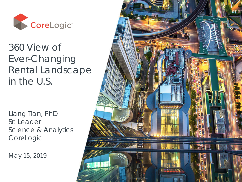

#### 360 View of Ever-Changing Rental Landscape in the U.S.

Liang Tian, PhD Sr. Leader Science & Analytics CoreLogic

May 15, 2019

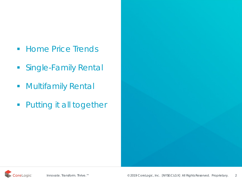- **Home Price Trends**
- **Single-Family Rental**
- **Nultifamily Rental**
- **Putting it all together**

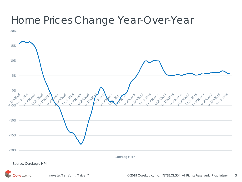#### Home Prices Change Year-Over-Year

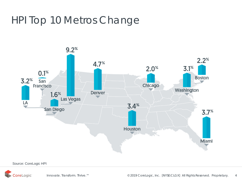## HPI Top 10 Metros Change



Source: CoreLogic HPI

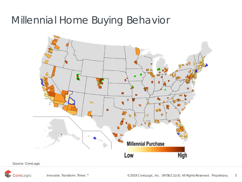### Millennial Home Buying Behavior



Source: CoreLogic

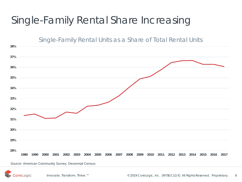# Single-Family Rental Share Increasing

Single-Family Rental Units as a Share of Total Rental Units



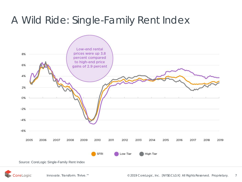# A Wild Ride: Single-Family Rent Index



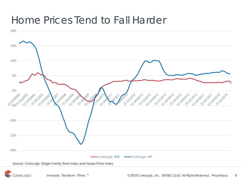#### Home Prices Tend to Fall Harder



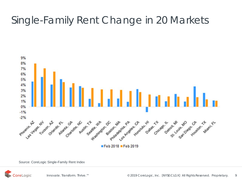# Single-Family Rent Change in 20 Markets



Source: CoreLogic Single-Family Rent Index

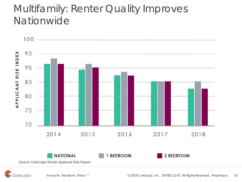### Multifamily: Renter Quality Improves Nationwide



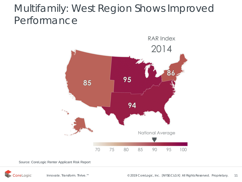## Multifamily: West Region Shows Improved Performance



Source: CoreLogic Renter Applicant Risk Report

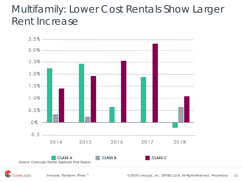## Multifamily: Lower Cost Rentals Show Larger Rent Increase



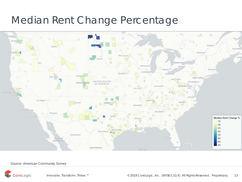## Median Rent Change Percentage



#### Source: American Community Survey

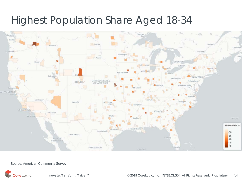#### Highest Population Share Aged 18-34



#### Source: American Community Survey

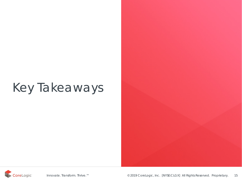# Key Takeaways